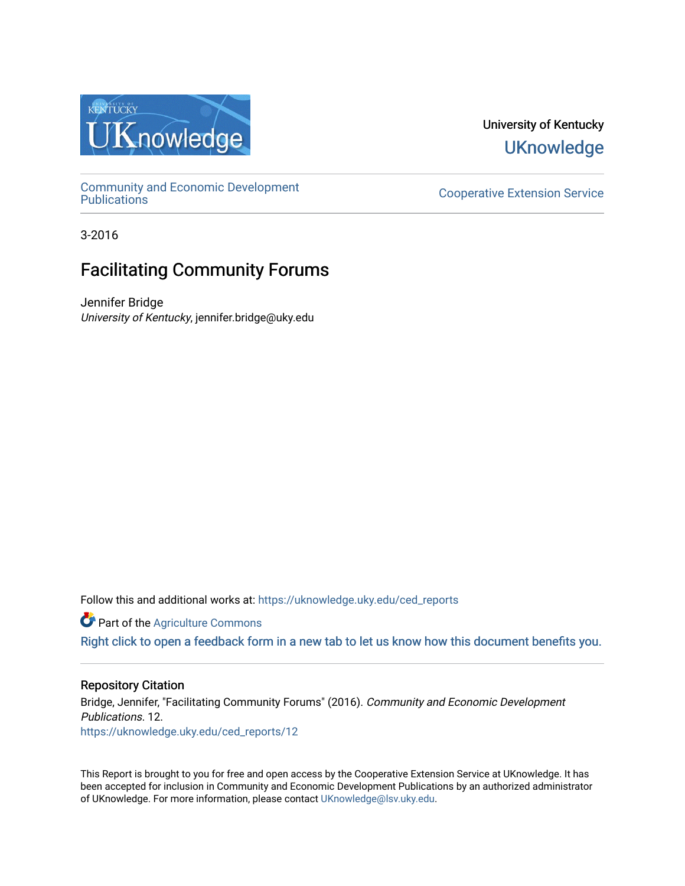

University of Kentucky **UKnowledge** 

[Community and Economic Development](https://uknowledge.uky.edu/ced_reports) 

**Cooperative Extension Service** 

3-2016

## Facilitating Community Forums

Jennifer Bridge University of Kentucky, jennifer.bridge@uky.edu

Follow this and additional works at: [https://uknowledge.uky.edu/ced\\_reports](https://uknowledge.uky.edu/ced_reports?utm_source=uknowledge.uky.edu%2Fced_reports%2F12&utm_medium=PDF&utm_campaign=PDFCoverPages)

**C** Part of the [Agriculture Commons](http://network.bepress.com/hgg/discipline/1076?utm_source=uknowledge.uky.edu%2Fced_reports%2F12&utm_medium=PDF&utm_campaign=PDFCoverPages)

[Right click to open a feedback form in a new tab to let us know how this document benefits you.](https://uky.az1.qualtrics.com/jfe/form/SV_9mq8fx2GnONRfz7)

### Repository Citation

Bridge, Jennifer, "Facilitating Community Forums" (2016). Community and Economic Development Publications. 12. [https://uknowledge.uky.edu/ced\\_reports/12](https://uknowledge.uky.edu/ced_reports/12?utm_source=uknowledge.uky.edu%2Fced_reports%2F12&utm_medium=PDF&utm_campaign=PDFCoverPages) 

This Report is brought to you for free and open access by the Cooperative Extension Service at UKnowledge. It has been accepted for inclusion in Community and Economic Development Publications by an authorized administrator of UKnowledge. For more information, please contact [UKnowledge@lsv.uky.edu.](mailto:UKnowledge@lsv.uky.edu)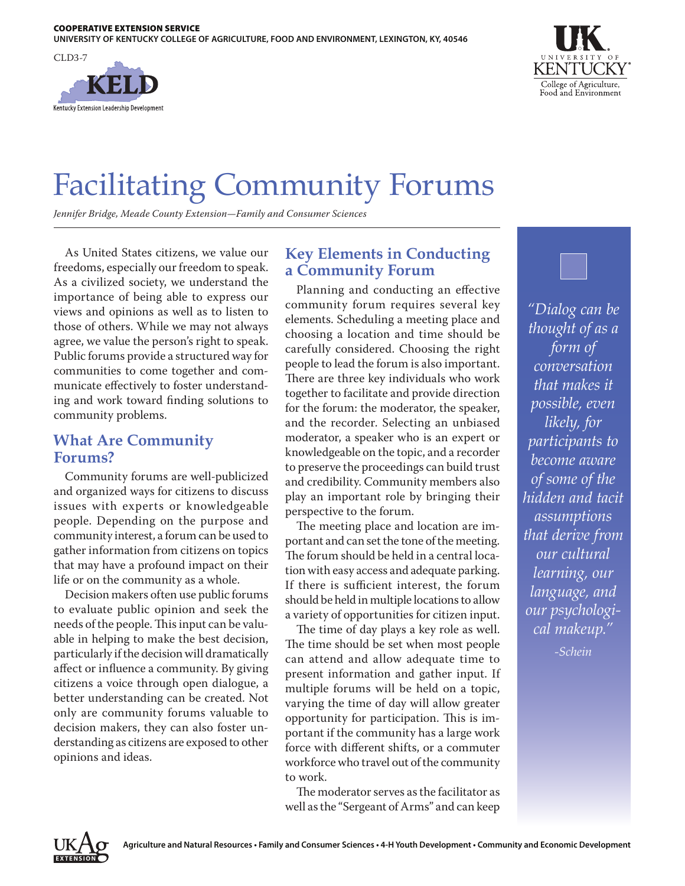



# Facilitating Community Forums

*Jennifer Bridge, Meade County Extension—Family and Consumer Sciences*

As United States citizens, we value our freedoms, especially our freedom to speak. As a civilized society, we understand the importance of being able to express our views and opinions as well as to listen to those of others. While we may not always agree, we value the person's right to speak. Public forums provide a structured way for communities to come together and communicate effectively to foster understanding and work toward finding solutions to community problems.

## **What Are Community Forums?**

Community forums are well-publicized and organized ways for citizens to discuss issues with experts or knowledgeable people. Depending on the purpose and community interest, a forum can be used to gather information from citizens on topics that may have a profound impact on their life or on the community as a whole.

Decision makers often use public forums to evaluate public opinion and seek the needs of the people. This input can be valuable in helping to make the best decision, particularly if the decision will dramatically affect or influence a community. By giving citizens a voice through open dialogue, a better understanding can be created. Not only are community forums valuable to decision makers, they can also foster understanding as citizens are exposed to other opinions and ideas.

## **Key Elements in Conducting a Community Forum**

Planning and conducting an effective community forum requires several key elements. Scheduling a meeting place and choosing a location and time should be carefully considered. Choosing the right people to lead the forum is also important. There are three key individuals who work together to facilitate and provide direction for the forum: the moderator, the speaker, and the recorder. Selecting an unbiased moderator, a speaker who is an expert or knowledgeable on the topic, and a recorder to preserve the proceedings can build trust and credibility. Community members also play an important role by bringing their perspective to the forum.

The meeting place and location are important and can set the tone of the meeting. The forum should be held in a central location with easy access and adequate parking. If there is sufficient interest, the forum should be held in multiple locations to allow a variety of opportunities for citizen input.

The time of day plays a key role as well. The time should be set when most people can attend and allow adequate time to present information and gather input. If multiple forums will be held on a topic, varying the time of day will allow greater opportunity for participation. This is important if the community has a large work force with different shifts, or a commuter workforce who travel out of the community to work.

The moderator serves as the facilitator as well as the "Sergeant of Arms" and can keep



*"Dialog can be thought of as a form of conversation that makes it possible, even likely, for participants to become aware of some of the hidden and tacit assumptions that derive from our cultural learning, our language, and our psychological makeup."*

*-Schein*